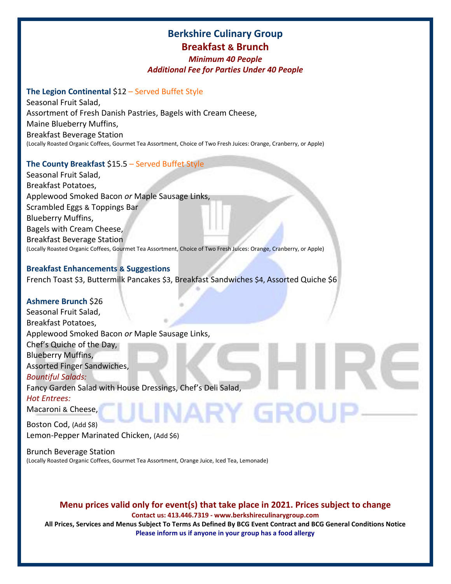# **Berkshire Culinary Group Breakfast & Brunch**

## *Minimum 40 People Additional Fee for Parties Under 40 People*

# **The Legion Continental** \$12 – Served Buffet Style

Seasonal Fruit Salad, Assortment of Fresh Danish Pastries, Bagels with Cream Cheese, Maine Blueberry Muffins, Breakfast Beverage Station (Locally Roasted Organic Coffees, Gourmet Tea Assortment, Choice of Two Fresh Juices: Orange, Cranberry, or Apple)

# **The County Breakfast** \$15.5 – Served Buffet Style

Seasonal Fruit Salad, Breakfast Potatoes, Applewood Smoked Bacon *or* Maple Sausage Links, Scrambled Eggs & Toppings Bar Blueberry Muffins, Bagels with Cream Cheese, Breakfast Beverage Station (Locally Roasted Organic Coffees, Gourmet Tea Assortment, Choice of Two Fresh Juices: Orange, Cranberry, or Apple)

## **Breakfast Enhancements & Suggestions**

French Toast \$3, Buttermilk Pancakes \$3, Breakfast Sandwiches \$4, Assorted Quiche \$6

## **Ashmere Brunch** \$26

Seasonal Fruit Salad, Breakfast Potatoes, Applewood Smoked Bacon *or* Maple Sausage Links, Chef's Quiche of the Day, Blueberry Muffins, Assorted Finger Sandwiches, *Bountiful Salads:* Fancy Garden Salad with House Dressings, Chef's Deli Salad, *Hot Entrees:* JARY GROL Macaroni & Cheese,

Boston Cod, (Add \$8) Lemon-Pepper Marinated Chicken, (Add \$6)

Brunch Beverage Station (Locally Roasted Organic Coffees, Gourmet Tea Assortment, Orange Juice, Iced Tea, Lemonade)

# **Menu prices valid only for event(s) that take place in 2021. Prices subject to change**

**Contact us: 413.446.7319 - www.berkshireculinarygroup.com**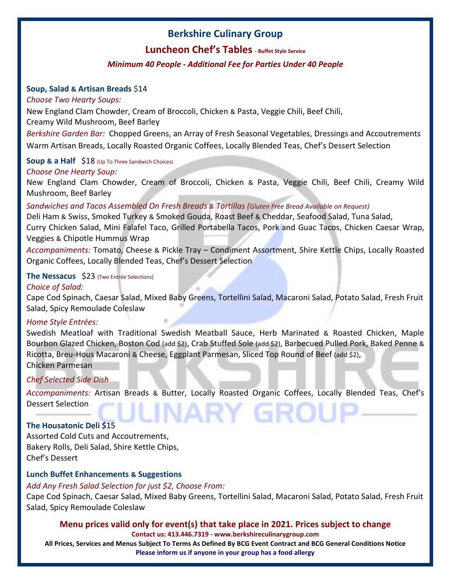# **Luncheon Chef's Tables - Buffet Style Service**

# *Minimum 40 People - Additional Fee for Parties Under 40 People*

## **Soup, Salad & Artisan Breads** \$14

## *Choose Two Hearty Soups:*

New England Clam Chowder, Cream of Broccoli, Chicken & Pasta, Veggie Chili, Beef Chili, Creamy Wild Mushroom, Beef Barley

*Berkshire Garden Bar:* Chopped Greens, an Array of Fresh Seasonal Vegetables, Dressings and Accoutrements Warm Artisan Breads, Locally Roasted Organic Coffees, Locally Blended Teas, Chef's Dessert Selection

# **Soup & a Half** \$18 (Up To Three Sandwich Choices)

# *Choose One Hearty Soup:*

New England Clam Chowder, Cream of Broccoli, Chicken & Pasta, Veggie Chili, Beef Chili, Creamy Wild Mushroom, Beef Barley

# *Sandwiches and Tacos Assembled On Fresh Breads & Tortillas (Gluten Free Bread Available on Request)*

Deli Ham & Swiss, Smoked Turkey & Smoked Gouda, Roast Beef & Cheddar, Seafood Salad, Tuna Salad, Curry Chicken Salad, Mini Falafel Taco, Grilled Portabella Tacos, Pork and Guac Tacos, Chicken Caesar Wrap, Veggies & Chipotle Hummus Wrap

*Accompaniments:* Tomato, Cheese & Pickle Tray – Condiment Assortment, Shire Kettle Chips, Locally Roasted Organic Coffees, Locally Blended Teas, Chef's Dessert Selection

## **The Nessacus** \$23 (Two Entrée Selections)

# *Choice of Salad:*

Cape Cod Spinach, Caesar Salad, Mixed Baby Greens, Tortellini Salad, Macaroni Salad, Potato Salad, Fresh Fruit Salad, Spicy Remoulade Coleslaw

## *Home Style Entrées:*

Swedish Meatloaf with Traditional Swedish Meatball Sauce, Herb Marinated & Roasted Chicken, Maple Bourbon Glazed Chicken, Boston Cod (add \$2), Crab Stuffed Sole (add \$2), Barbecued Pulled Pork, Baked Penne & Ricotta, Breu-Hous Macaroni & Cheese, Eggplant Parmesan, Sliced Top Round of Beef (add \$2), Chicken Parmesan

## *Chef Selected Side Dish*

*Accompaniments:* Artisan Breads & Butter, Locally Roasted Organic Coffees, Locally Blended Teas, Chef's Dessert Selection ARY GROL

# **The Housatonic Deli \$**15

Assorted Cold Cuts and Accoutrements, Bakery Rolls, Deli Salad, Shire Kettle Chips, Chef's Dessert

# **Lunch Buffet Enhancements & Suggestions**

## *Add Any Fresh Salad Selection for just \$2, Choose From:*

Cape Cod Spinach, Caesar Salad, Mixed Baby Greens, Tortellini Salad, Macaroni Salad, Potato Salad, Fresh Fruit Salad, Spicy Remoulade Coleslaw

## **Menu prices valid only for event(s) that take place in 2021. Prices subject to change**

#### **Contact us: 413.446.7319 - www.berkshireculinarygroup.com**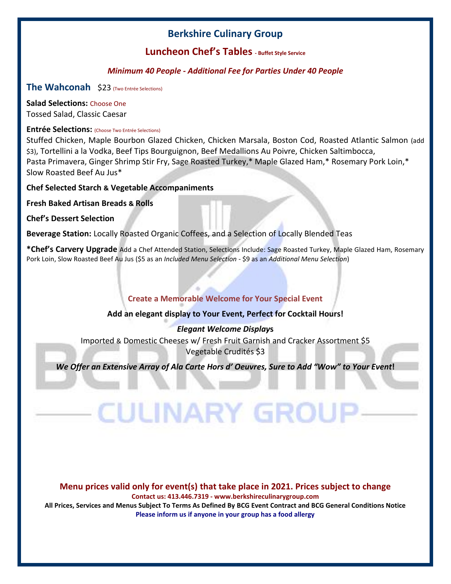# **Luncheon Chef's Tables - Buffet Style Service**

# *Minimum 40 People - Additional Fee for Parties Under 40 People*

**The Wahconah** \$23 (Two Entrée Selections)

**Salad Selections:** Choose One Tossed Salad, Classic Caesar

## **Entrée Selections:** (Choose Two Entrée Selections)

Stuffed Chicken, Maple Bourbon Glazed Chicken, Chicken Marsala, Boston Cod, Roasted Atlantic Salmon (add \$3), Tortellini a la Vodka, Beef Tips Bourguignon, Beef Medallions Au Poivre, Chicken Saltimbocca, Pasta Primavera, Ginger Shrimp Stir Fry, Sage Roasted Turkey,\* Maple Glazed Ham,\* Rosemary Pork Loin,\* Slow Roasted Beef Au Jus\*

**Chef Selected Starch & Vegetable Accompaniments**

**Fresh Baked Artisan Breads & Rolls**

**Chef's Dessert Selection**

**Beverage Station:** Locally Roasted Organic Coffees, and a Selection of Locally Blended Teas

**\*Chef's Carvery Upgrade** Add a Chef Attended Station, Selections Include: Sage Roasted Turkey, Maple Glazed Ham, Rosemary Pork Loin, Slow Roasted Beef Au Jus (\$5 as an *Included Menu Selection* - \$9 as an *Additional Menu Selection*)

# **Create a Memorable Welcome for Your Special Event**

## **Add an elegant display to Your Event, Perfect for Cocktail Hours!**

## *Elegant Welcome Display***s**

Imported & Domestic Cheeses w/ Fresh Fruit Garnish and Cracker Assortment \$5 Vegetable Crudités \$3

*We Offer an Extensive Array of Ala Carte Hors d' Oeuvres, Sure to Add "Wow" to Your Event!* 

**CULINARY GROU** 

# **Menu prices valid only for event(s) that take place in 2021. Prices subject to change**

**Contact us: 413.446.7319 - www.berkshireculinarygroup.com**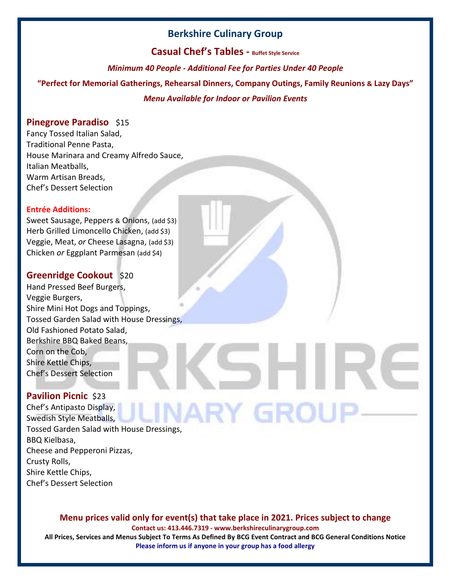**Casual Chef's Tables - Buffet Style Service**

*Minimum 40 People - Additional Fee for Parties Under 40 People*

**"Perfect for Memorial Gatherings, Rehearsal Dinners, Company Outings, Family Reunions & Lazy Days"** 

# *Menu Available for Indoor or Pavilion Events*

# **Pinegrove Paradiso** \$15

Fancy Tossed Italian Salad, Traditional Penne Pasta, House Marinara and Creamy Alfredo Sauce, Italian Meatballs, Warm Artisan Breads, Chef's Dessert Selection

#### **Entrée Additions:**

Sweet Sausage, Peppers & Onions, (add \$3) Herb Grilled Limoncello Chicken, (add \$3) Veggie, Meat, *or* Cheese Lasagna, (add \$3) Chicken *or* Eggplant Parmesan (add \$4)

# **Greenridge Cookout** \$20

Hand Pressed Beef Burgers, Veggie Burgers, Shire Mini Hot Dogs and Toppings, Tossed Garden Salad with House Dressings, Old Fashioned Potato Salad, Berkshire BBQ Baked Beans, Corn on the Cob, Shire Kettle Chips, Chef's Dessert Selection

# **Pavilion Picnic** \$23

Chef's Antipasto Display, INARY GROU Swedish Style Meatballs, Tossed Garden Salad with House Dressings, BBQ Kielbasa, Cheese and Pepperoni Pizzas, Crusty Rolls, Shire Kettle Chips, Chef's Dessert Selection

## **Menu prices valid only for event(s) that take place in 2021. Prices subject to change**

**Contact us: 413.446.7319 - www.berkshireculinarygroup.com**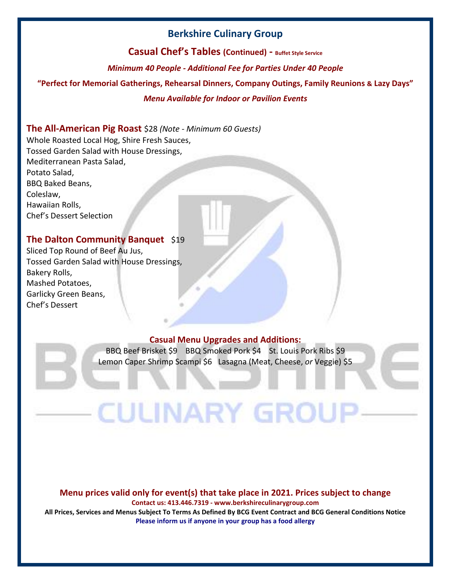**Casual Chef's Tables (Continued) - Buffet Style Service**

*Minimum 40 People - Additional Fee for Parties Under 40 People*

**"Perfect for Memorial Gatherings, Rehearsal Dinners, Company Outings, Family Reunions & Lazy Days"** 

## *Menu Available for Indoor or Pavilion Events*

# **The All-American Pig Roast** \$28 *(Note - Minimum 60 Guests)*

Whole Roasted Local Hog, Shire Fresh Sauces, Tossed Garden Salad with House Dressings, Mediterranean Pasta Salad, Potato Salad, BBQ Baked Beans, Coleslaw, Hawaiian Rolls, Chef's Dessert Selection

# **The Dalton Community Banquet** \$19

Sliced Top Round of Beef Au Jus, Tossed Garden Salad with House Dressings, Bakery Rolls, Mashed Potatoes, Garlicky Green Beans, Chef's Dessert

## **Casual Menu Upgrades and Additions:**

BBQ Beef Brisket \$9 BBQ Smoked Pork \$4 St. Louis Pork Ribs \$9 Lemon Caper Shrimp Scampi \$6 Lasagna (Meat, Cheese, *or* Veggie) \$5

**CULINARY GROL** 

#### **Menu prices valid only for event(s) that take place in 2021. Prices subject to change**

**Contact us: 413.446.7319 - www.berkshireculinarygroup.com**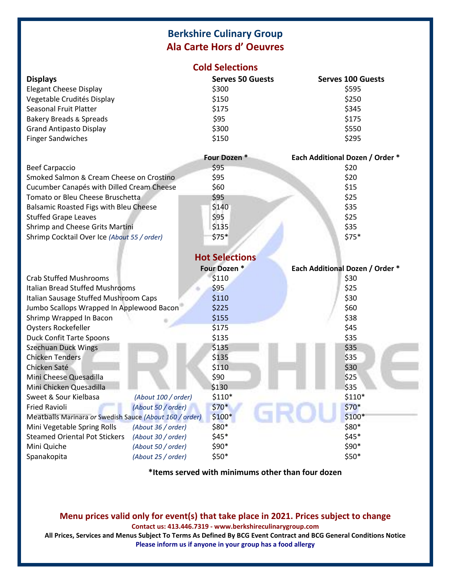# **Berkshire Culinary Group Ala Carte Hors d' Oeuvres**

| <b>Cold Selections</b> |  |  |  |  |  |  |
|------------------------|--|--|--|--|--|--|
|------------------------|--|--|--|--|--|--|

| <b>Displays</b>                    | <b>Serves 50 Guests</b> | <b>Serves 100 Guests</b> |  |
|------------------------------------|-------------------------|--------------------------|--|
| <b>Elegant Cheese Display</b>      | \$300                   | \$595                    |  |
| Vegetable Crudités Display         | \$150                   | \$250                    |  |
| Seasonal Fruit Platter             | \$175                   | \$345                    |  |
| <b>Bakery Breads &amp; Spreads</b> | \$95                    | \$175                    |  |
| <b>Grand Antipasto Display</b>     | \$300                   | \$550                    |  |
| <b>Finger Sandwiches</b>           | \$150                   | \$295                    |  |

|                                             | Four Dozen * | <b>Each Additional Dozen / Order *</b> |
|---------------------------------------------|--------------|----------------------------------------|
| <b>Beef Carpaccio</b>                       | \$95         | \$20                                   |
| Smoked Salmon & Cream Cheese on Crostino    | \$95         | \$20                                   |
| Cucumber Canapés with Dilled Cream Cheese   | \$60         | \$15                                   |
| Tomato or Bleu Cheese Bruschetta            | \$95         | \$25                                   |
| Balsamic Roasted Figs with Bleu Cheese      | \$140        | \$35                                   |
| <b>Stuffed Grape Leaves</b>                 | \$95         | \$25                                   |
| Shrimp and Cheese Grits Martini             | \$135        | \$35                                   |
| Shrimp Cocktail Over Ice (About 55 / order) | $$75*$       | $$75*$                                 |
|                                             |              |                                        |

|                                                            |                     | <b>Hot Selections</b> |                                 |
|------------------------------------------------------------|---------------------|-----------------------|---------------------------------|
|                                                            |                     | Four Dozen *          | Each Additional Dozen / Order * |
| <b>Crab Stuffed Mushrooms</b>                              |                     | \$110                 | \$30                            |
| <b>Italian Bread Stuffed Mushrooms</b>                     |                     | \$95                  | \$25                            |
| Italian Sausage Stuffed Mushroom Caps                      |                     | \$110                 | \$30                            |
| Jumbo Scallops Wrapped In Applewood Bacon                  |                     | \$225                 | \$60                            |
| Shrimp Wrapped In Bacon                                    |                     | \$155                 | \$38                            |
| <b>Oysters Rockefeller</b>                                 |                     | \$175                 | \$45                            |
| <b>Duck Confit Tarte Spoons</b>                            |                     | \$135                 | \$35                            |
| <b>Szechuan Duck Wings</b>                                 |                     | \$135                 | \$35                            |
| <b>Chicken Tenders</b>                                     |                     | \$135                 | \$35                            |
| Chicken Saté                                               |                     | \$110                 | \$30                            |
| Mini Cheese Quesadilla                                     |                     | \$90                  | \$25                            |
| Mini Chicken Quesadilla                                    |                     | \$130                 | \$35                            |
| Sweet & Sour Kielbasa                                      | (About 100 / order) | $$110*$               | $$110*$                         |
| <b>Fried Ravioli</b>                                       | (About 50 / order)  | $$70*$                | $$70*$                          |
| Meatballs Marinara or Swedish Sauce (About 160 / order)    |                     | $$100*$               | $$100*$                         |
| Mini Vegetable Spring Rolls<br>(About 36 / order)          |                     | $$80*$                | \$80*                           |
| <b>Steamed Oriental Pot Stickers</b><br>(About 30 / order) |                     | $$45*$                | $$45*$                          |
| Mini Quiche                                                | (About 50 / order)  | $$90*$                | \$90*                           |
| Spanakopita                                                | (About 25 / order)  | \$50*                 | \$50*                           |

**\*Items served with minimums other than four dozen**

# **Menu prices valid only for event(s) that take place in 2021. Prices subject to change**

**Contact us: 413.446.7319 - www.berkshireculinarygroup.com**